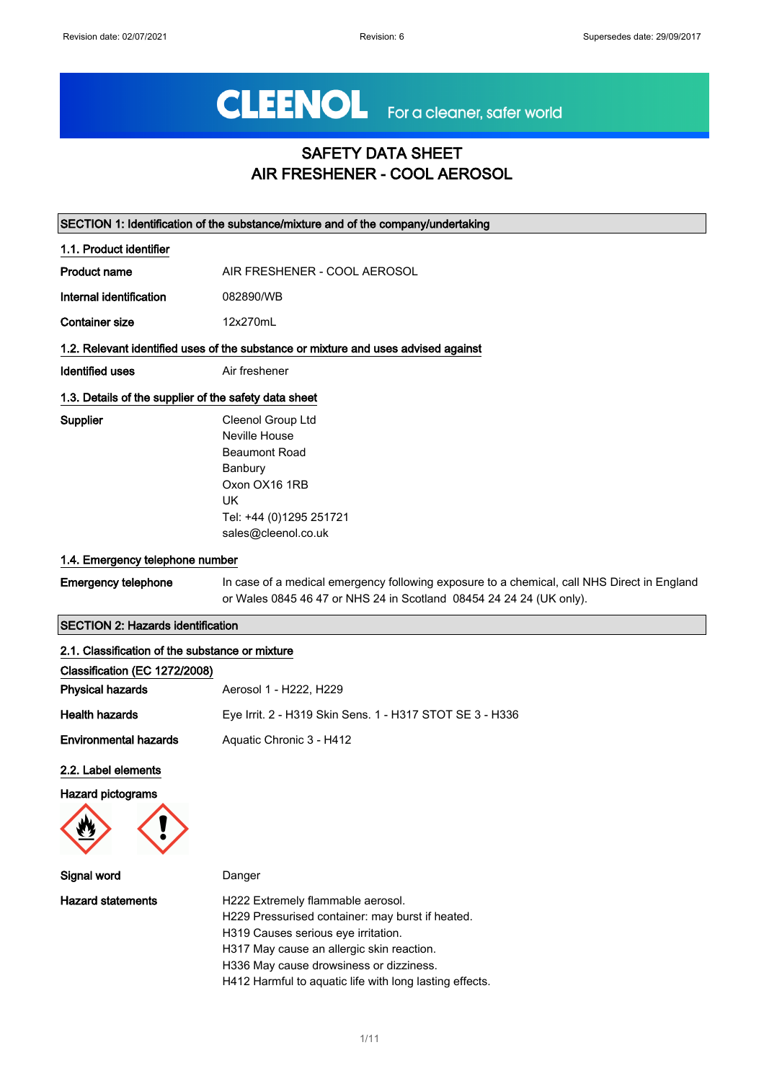# CLEENOL For a cleaner, safer world

## SAFETY DATA SHEET AIR FRESHENER - COOL AEROSOL

|                                                       | SECTION 1: Identification of the substance/mixture and of the company/undertaking                                                                                  |
|-------------------------------------------------------|--------------------------------------------------------------------------------------------------------------------------------------------------------------------|
| 1.1. Product identifier                               |                                                                                                                                                                    |
| <b>Product name</b>                                   | AIR FRESHENER - COOL AEROSOL                                                                                                                                       |
| Internal identification                               | 082890/WB                                                                                                                                                          |
| <b>Container size</b>                                 | 12x270mL                                                                                                                                                           |
|                                                       | 1.2. Relevant identified uses of the substance or mixture and uses advised against                                                                                 |
| <b>Identified uses</b>                                | Air freshener                                                                                                                                                      |
| 1.3. Details of the supplier of the safety data sheet |                                                                                                                                                                    |
| Supplier                                              | Cleenol Group Ltd                                                                                                                                                  |
|                                                       | Neville House                                                                                                                                                      |
|                                                       | <b>Beaumont Road</b>                                                                                                                                               |
|                                                       | Banbury                                                                                                                                                            |
|                                                       | Oxon OX16 1RB                                                                                                                                                      |
|                                                       | UK                                                                                                                                                                 |
|                                                       | Tel: +44 (0)1295 251721                                                                                                                                            |
|                                                       | sales@cleenol.co.uk                                                                                                                                                |
| 1.4. Emergency telephone number                       |                                                                                                                                                                    |
| <b>Emergency telephone</b>                            | In case of a medical emergency following exposure to a chemical, call NHS Direct in England<br>or Wales 0845 46 47 or NHS 24 in Scotland 08454 24 24 24 (UK only). |
| <b>SECTION 2: Hazards identification</b>              |                                                                                                                                                                    |

| Classification (EC 1272/2008) |                                                          |
|-------------------------------|----------------------------------------------------------|
| <b>Physical hazards</b>       | Aerosol 1 - H222, H229                                   |
| <b>Health hazards</b>         | Eye Irrit. 2 - H319 Skin Sens. 1 - H317 STOT SE 3 - H336 |
| <b>Environmental hazards</b>  | Aquatic Chronic 3 - H412                                 |
| 2.2. Label elements           |                                                          |
| <b>Hazard pictograms</b>      |                                                          |

| Signal word              | Danger                                                                                |
|--------------------------|---------------------------------------------------------------------------------------|
| <b>Hazard statements</b> | H222 Extremely flammable aerosol.<br>H229 Pressurised container: may burst if heated. |
|                          | H319 Causes serious eye irritation.<br>H317 May cause an allergic skin reaction.      |
|                          | H336 May cause drowsiness or dizziness.                                               |
|                          | H412 Harmful to aquatic life with long lasting effects.                               |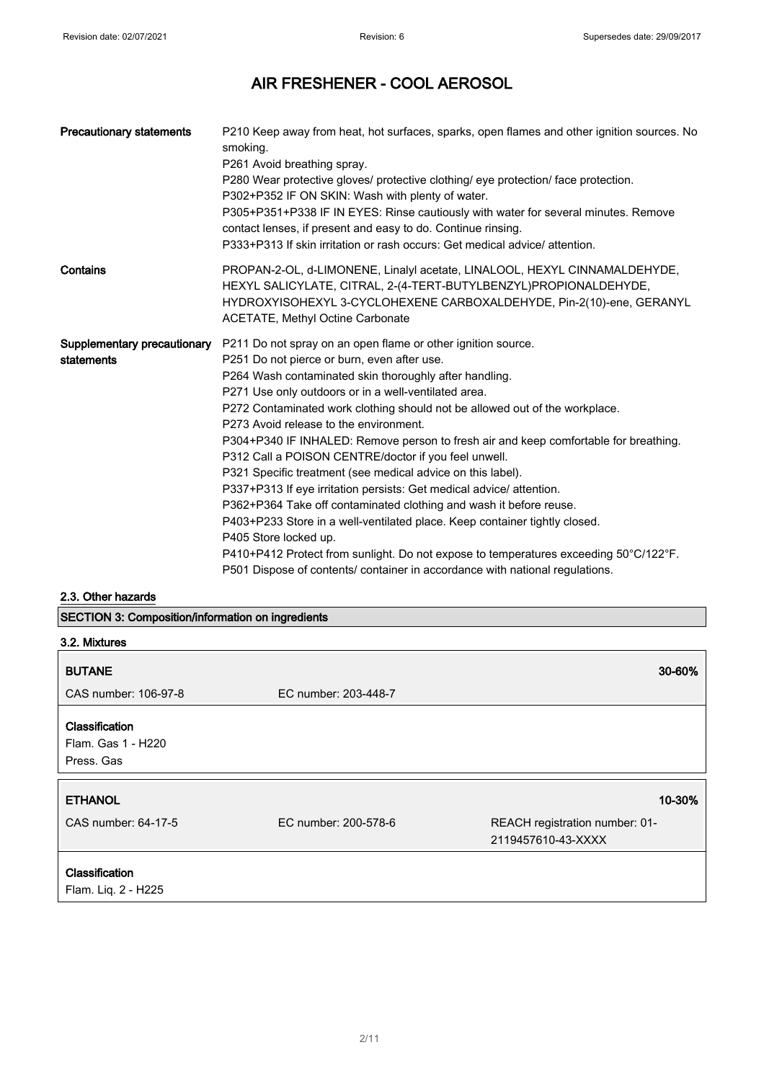| <b>Precautionary statements</b>           | P210 Keep away from heat, hot surfaces, sparks, open flames and other ignition sources. No<br>smoking.<br>P261 Avoid breathing spray.<br>P280 Wear protective gloves/ protective clothing/ eye protection/ face protection.<br>P302+P352 IF ON SKIN: Wash with plenty of water.<br>P305+P351+P338 IF IN EYES: Rinse cautiously with water for several minutes. Remove<br>contact lenses, if present and easy to do. Continue rinsing.<br>P333+P313 If skin irritation or rash occurs: Get medical advice/attention.                                                                                                                                                                                                                                                                                                                                                                                                                                                                                |
|-------------------------------------------|----------------------------------------------------------------------------------------------------------------------------------------------------------------------------------------------------------------------------------------------------------------------------------------------------------------------------------------------------------------------------------------------------------------------------------------------------------------------------------------------------------------------------------------------------------------------------------------------------------------------------------------------------------------------------------------------------------------------------------------------------------------------------------------------------------------------------------------------------------------------------------------------------------------------------------------------------------------------------------------------------|
| Contains                                  | PROPAN-2-OL, d-LIMONENE, Linalyl acetate, LINALOOL, HEXYL CINNAMALDEHYDE,<br>HEXYL SALICYLATE, CITRAL, 2-(4-TERT-BUTYLBENZYL)PROPIONALDEHYDE,<br>HYDROXYISOHEXYL 3-CYCLOHEXENE CARBOXALDEHYDE, Pin-2(10)-ene, GERANYL<br><b>ACETATE, Methyl Octine Carbonate</b>                                                                                                                                                                                                                                                                                                                                                                                                                                                                                                                                                                                                                                                                                                                                   |
| Supplementary precautionary<br>statements | P211 Do not spray on an open flame or other ignition source.<br>P251 Do not pierce or burn, even after use.<br>P264 Wash contaminated skin thoroughly after handling.<br>P271 Use only outdoors or in a well-ventilated area.<br>P272 Contaminated work clothing should not be allowed out of the workplace.<br>P273 Avoid release to the environment.<br>P304+P340 IF INHALED: Remove person to fresh air and keep comfortable for breathing.<br>P312 Call a POISON CENTRE/doctor if you feel unwell.<br>P321 Specific treatment (see medical advice on this label).<br>P337+P313 If eye irritation persists: Get medical advice/ attention.<br>P362+P364 Take off contaminated clothing and wash it before reuse.<br>P403+P233 Store in a well-ventilated place. Keep container tightly closed.<br>P405 Store locked up.<br>P410+P412 Protect from sunlight. Do not expose to temperatures exceeding 50°C/122°F.<br>P501 Dispose of contents/ container in accordance with national regulations. |

#### 2.3. Other hazards

SECTION 3: Composition/information on ingredients

| 3.2. Mixtures                                      |                      |                                                      |
|----------------------------------------------------|----------------------|------------------------------------------------------|
| <b>BUTANE</b>                                      |                      | 30-60%                                               |
| CAS number: 106-97-8                               | EC number: 203-448-7 |                                                      |
| Classification<br>Flam. Gas 1 - H220<br>Press. Gas |                      |                                                      |
| <b>ETHANOL</b>                                     |                      | 10-30%                                               |
| CAS number: 64-17-5                                | EC number: 200-578-6 | REACH registration number: 01-<br>2119457610-43-XXXX |
| Classification<br>Flam. Liq. 2 - H225              |                      |                                                      |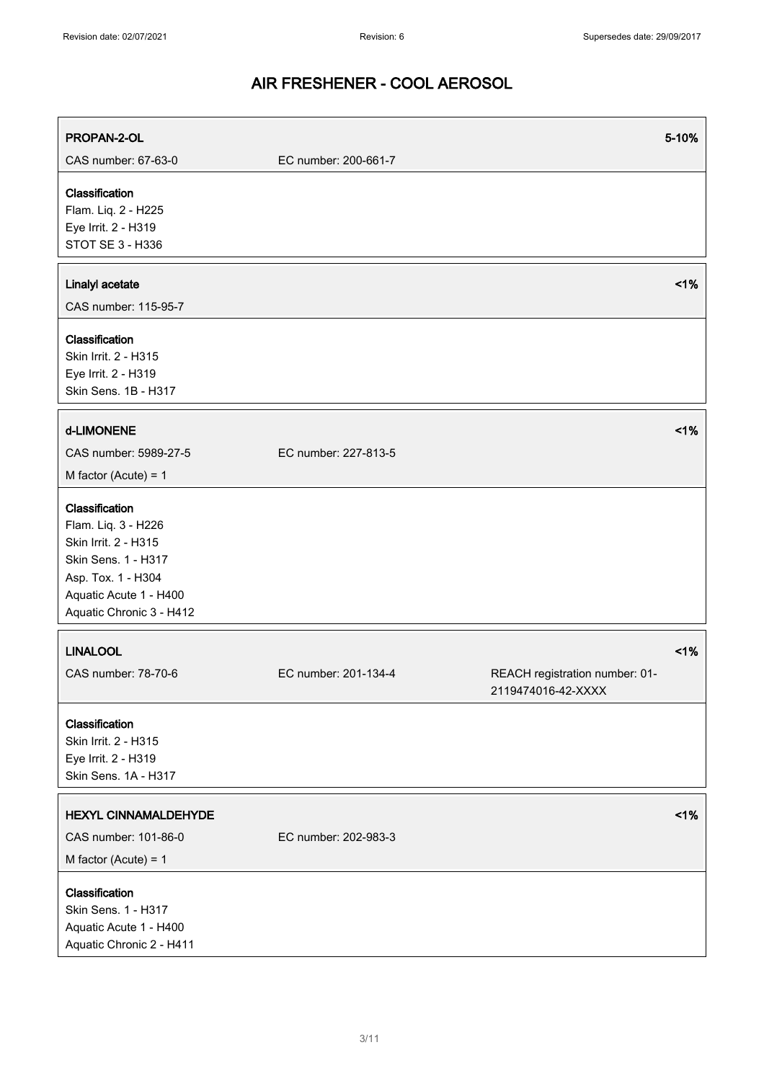| PROPAN-2-OL                                                                                                                                                      |                      | 5-10%                                                |        |
|------------------------------------------------------------------------------------------------------------------------------------------------------------------|----------------------|------------------------------------------------------|--------|
| CAS number: 67-63-0                                                                                                                                              | EC number: 200-661-7 |                                                      |        |
| Classification<br>Flam. Liq. 2 - H225<br>Eye Irrit. 2 - H319<br>STOT SE 3 - H336                                                                                 |                      |                                                      |        |
| Linalyl acetate<br>CAS number: 115-95-7                                                                                                                          |                      |                                                      | 1%     |
| Classification<br>Skin Irrit. 2 - H315<br>Eye Irrit. 2 - H319<br>Skin Sens. 1B - H317                                                                            |                      |                                                      |        |
| d-LIMONENE<br>CAS number: 5989-27-5<br>M factor (Acute) = $1$                                                                                                    | EC number: 227-813-5 |                                                      | 1%     |
| Classification<br>Flam. Liq. 3 - H226<br>Skin Irrit. 2 - H315<br>Skin Sens. 1 - H317<br>Asp. Tox. 1 - H304<br>Aquatic Acute 1 - H400<br>Aquatic Chronic 3 - H412 |                      |                                                      |        |
| <b>LINALOOL</b><br>CAS number: 78-70-6                                                                                                                           | EC number: 201-134-4 | REACH registration number: 01-<br>2119474016-42-XXXX | $<$ 1% |
| Classification<br>Skin Irrit. 2 - H315<br>Eye Irrit. 2 - H319<br>Skin Sens. 1A - H317                                                                            |                      |                                                      |        |
| <b>HEXYL CINNAMALDEHYDE</b><br>CAS number: 101-86-0<br>M factor (Acute) = $1$                                                                                    | EC number: 202-983-3 |                                                      | 1%     |
| Classification<br>Skin Sens. 1 - H317<br>Aquatic Acute 1 - H400<br>Aquatic Chronic 2 - H411                                                                      |                      |                                                      |        |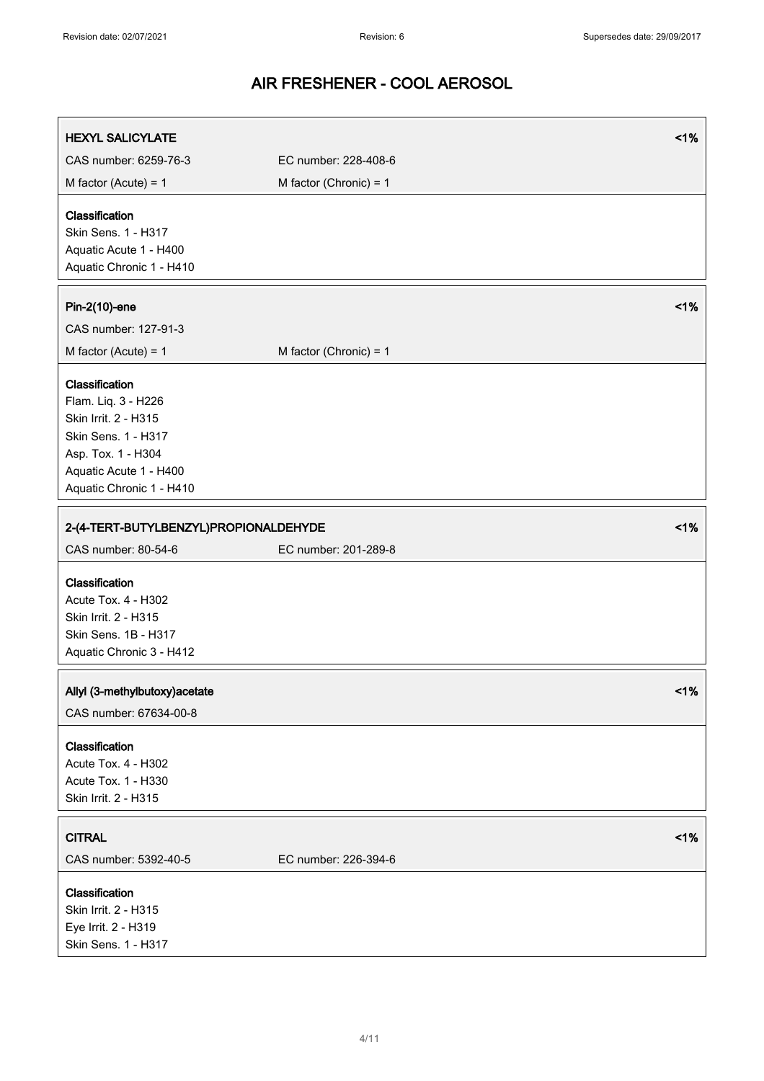| <b>HEXYL SALICYLATE</b>                                                                                                                                          |                          | 1% |
|------------------------------------------------------------------------------------------------------------------------------------------------------------------|--------------------------|----|
| CAS number: 6259-76-3                                                                                                                                            | EC number: 228-408-6     |    |
| M factor (Acute) = $1$                                                                                                                                           | M factor (Chronic) = $1$ |    |
| Classification<br>Skin Sens. 1 - H317<br>Aquatic Acute 1 - H400<br>Aquatic Chronic 1 - H410                                                                      |                          |    |
| Pin-2(10)-ene                                                                                                                                                    |                          | 1% |
| CAS number: 127-91-3                                                                                                                                             |                          |    |
| M factor (Acute) = $1$                                                                                                                                           | M factor (Chronic) = $1$ |    |
| Classification<br>Flam. Liq. 3 - H226<br>Skin Irrit. 2 - H315<br>Skin Sens. 1 - H317<br>Asp. Tox. 1 - H304<br>Aquatic Acute 1 - H400<br>Aquatic Chronic 1 - H410 |                          |    |
| 2-(4-TERT-BUTYLBENZYL)PROPIONALDEHYDE                                                                                                                            |                          | 1% |
| CAS number: 80-54-6                                                                                                                                              | EC number: 201-289-8     |    |
| Classification<br>Acute Tox. 4 - H302<br>Skin Irrit. 2 - H315<br>Skin Sens. 1B - H317<br>Aquatic Chronic 3 - H412                                                |                          |    |
| Allyl (3-methylbutoxy) acetate<br>CAS number: 67634-00-8                                                                                                         |                          | 1% |
| Classification<br>Acute Tox. 4 - H302<br>Acute Tox. 1 - H330<br>Skin Irrit. 2 - H315                                                                             |                          |    |
| <b>CITRAL</b>                                                                                                                                                    |                          | 1% |
| CAS number: 5392-40-5                                                                                                                                            | EC number: 226-394-6     |    |
| Classification<br>Skin Irrit. 2 - H315<br>Eye Irrit. 2 - H319<br>Skin Sens. 1 - H317                                                                             |                          |    |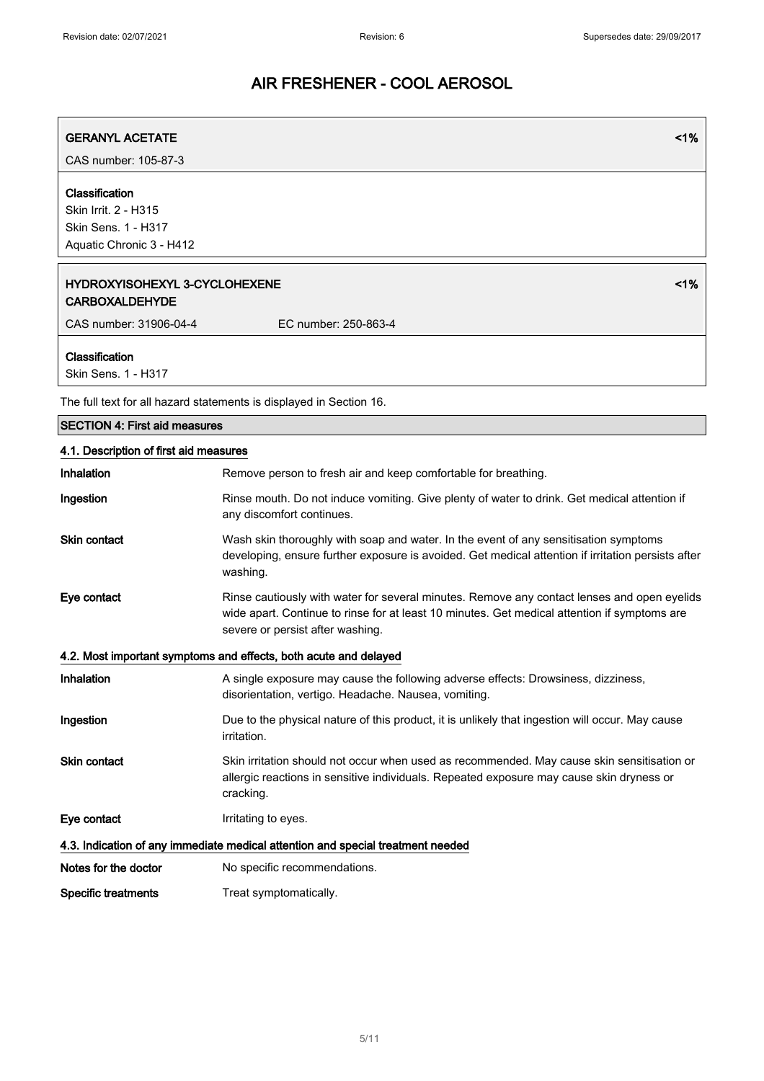| <b>GERANYL ACETATE</b>                                                                    | 1%                                                                                                                                                                                                                              |
|-------------------------------------------------------------------------------------------|---------------------------------------------------------------------------------------------------------------------------------------------------------------------------------------------------------------------------------|
| CAS number: 105-87-3                                                                      |                                                                                                                                                                                                                                 |
| Classification<br>Skin Irrit. 2 - H315<br>Skin Sens. 1 - H317<br>Aquatic Chronic 3 - H412 |                                                                                                                                                                                                                                 |
| <b>HYDROXYISOHEXYL 3-CYCLOHEXENE</b><br><b>CARBOXALDEHYDE</b>                             | 1%                                                                                                                                                                                                                              |
| CAS number: 31906-04-4                                                                    | EC number: 250-863-4                                                                                                                                                                                                            |
| Classification<br>Skin Sens. 1 - H317                                                     |                                                                                                                                                                                                                                 |
|                                                                                           | The full text for all hazard statements is displayed in Section 16.                                                                                                                                                             |
| <b>SECTION 4: First aid measures</b>                                                      |                                                                                                                                                                                                                                 |
| 4.1. Description of first aid measures                                                    |                                                                                                                                                                                                                                 |
| Inhalation                                                                                | Remove person to fresh air and keep comfortable for breathing.                                                                                                                                                                  |
| Ingestion                                                                                 | Rinse mouth. Do not induce vomiting. Give plenty of water to drink. Get medical attention if<br>any discomfort continues.                                                                                                       |
| <b>Skin contact</b>                                                                       | Wash skin thoroughly with soap and water. In the event of any sensitisation symptoms<br>developing, ensure further exposure is avoided. Get medical attention if irritation persists after<br>washing.                          |
| Eye contact                                                                               | Rinse cautiously with water for several minutes. Remove any contact lenses and open eyelids<br>wide apart. Continue to rinse for at least 10 minutes. Get medical attention if symptoms are<br>severe or persist after washing. |
|                                                                                           | 4.2. Most important symptoms and effects, both acute and delayed                                                                                                                                                                |
| Inhalation                                                                                | A single exposure may cause the following adverse effects: Drowsiness, dizziness,<br>disorientation, vertigo. Headache. Nausea, vomiting.                                                                                       |
| Ingestion                                                                                 | Due to the physical nature of this product, it is unlikely that ingestion will occur. May cause<br>irritation.                                                                                                                  |
| Skin contact                                                                              | Skin irritation should not occur when used as recommended. May cause skin sensitisation or<br>allergic reactions in sensitive individuals. Repeated exposure may cause skin dryness or<br>cracking.                             |
| Eye contact                                                                               | Irritating to eyes.                                                                                                                                                                                                             |
|                                                                                           | 4.3. Indication of any immediate medical attention and special treatment needed                                                                                                                                                 |
| Notes for the doctor                                                                      | No specific recommendations.                                                                                                                                                                                                    |

Specific treatments Treat symptomatically.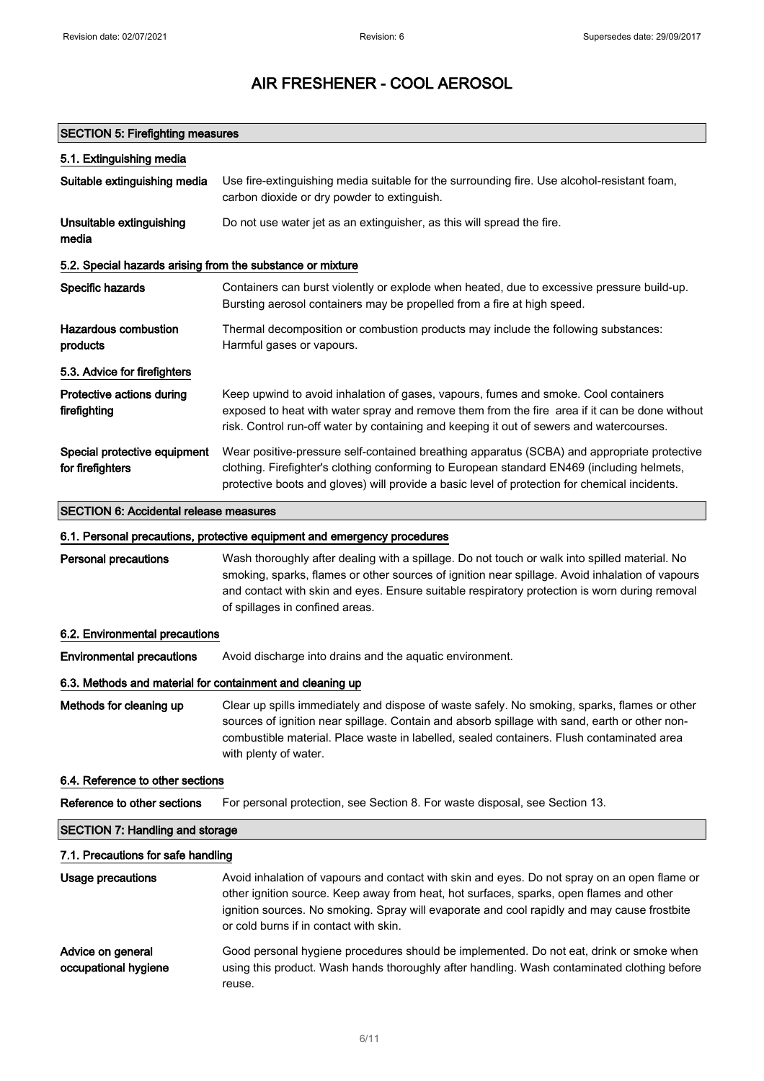#### SECTION 5: Firefighting measures

| 5.1. Extinguishing media                                   |                                                                                                                                                                                                                                                                                            |
|------------------------------------------------------------|--------------------------------------------------------------------------------------------------------------------------------------------------------------------------------------------------------------------------------------------------------------------------------------------|
| Suitable extinguishing media                               | Use fire-extinguishing media suitable for the surrounding fire. Use alcohol-resistant foam,<br>carbon dioxide or dry powder to extinguish.                                                                                                                                                 |
| Unsuitable extinguishing<br>media                          | Do not use water jet as an extinguisher, as this will spread the fire.                                                                                                                                                                                                                     |
| 5.2. Special hazards arising from the substance or mixture |                                                                                                                                                                                                                                                                                            |
| Specific hazards                                           | Containers can burst violently or explode when heated, due to excessive pressure build-up.<br>Bursting aerosol containers may be propelled from a fire at high speed.                                                                                                                      |
| Hazardous combustion<br>products                           | Thermal decomposition or combustion products may include the following substances:<br>Harmful gases or vapours.                                                                                                                                                                            |
| 5.3. Advice for firefighters                               |                                                                                                                                                                                                                                                                                            |
| Protective actions during<br>firefighting                  | Keep upwind to avoid inhalation of gases, vapours, fumes and smoke. Cool containers<br>exposed to heat with water spray and remove them from the fire area if it can be done without<br>risk. Control run-off water by containing and keeping it out of sewers and watercourses.           |
| Special protective equipment<br>for firefighters           | Wear positive-pressure self-contained breathing apparatus (SCBA) and appropriate protective<br>clothing. Firefighter's clothing conforming to European standard EN469 (including helmets,<br>protective boots and gloves) will provide a basic level of protection for chemical incidents. |
| <b>SECTION 6: Accidental release measures</b>              |                                                                                                                                                                                                                                                                                            |
|                                                            | 6.1. Personal precautions, protective equipment and emergency procedures                                                                                                                                                                                                                   |
| <b>Personal precautions</b>                                | Wash thoroughly after dealing with a spillage. Do not touch or walk into spilled material. No                                                                                                                                                                                              |

smoking, sparks, flames or other sources of ignition near spillage. Avoid inhalation of vapours and contact with skin and eyes. Ensure suitable respiratory protection is worn during removal of spillages in confined areas.

#### 6.2. Environmental precautions

Environmental precautions Avoid discharge into drains and the aquatic environment.

#### 6.3. Methods and material for containment and cleaning up

Methods for cleaning up Clear up spills immediately and dispose of waste safely. No smoking, sparks, flames or other sources of ignition near spillage. Contain and absorb spillage with sand, earth or other noncombustible material. Place waste in labelled, sealed containers. Flush contaminated area with plenty of water.

#### 6.4. Reference to other sections

| Reference to other sections |  | For personal protection, see Section 8. For waste disposal, see Section 13. |  |
|-----------------------------|--|-----------------------------------------------------------------------------|--|
|                             |  |                                                                             |  |

#### SECTION 7: Handling and storage

#### 7.1. Precautions for safe handling

| Usage precautions                         | Avoid inhalation of vapours and contact with skin and eyes. Do not spray on an open flame or<br>other ignition source. Keep away from heat, hot surfaces, sparks, open flames and other<br>ignition sources. No smoking. Spray will evaporate and cool rapidly and may cause frostbite<br>or cold burns if in contact with skin. |
|-------------------------------------------|----------------------------------------------------------------------------------------------------------------------------------------------------------------------------------------------------------------------------------------------------------------------------------------------------------------------------------|
| Advice on general<br>occupational hygiene | Good personal hygiene procedures should be implemented. Do not eat, drink or smoke when<br>using this product. Wash hands thoroughly after handling. Wash contaminated clothing before<br>reuse.                                                                                                                                 |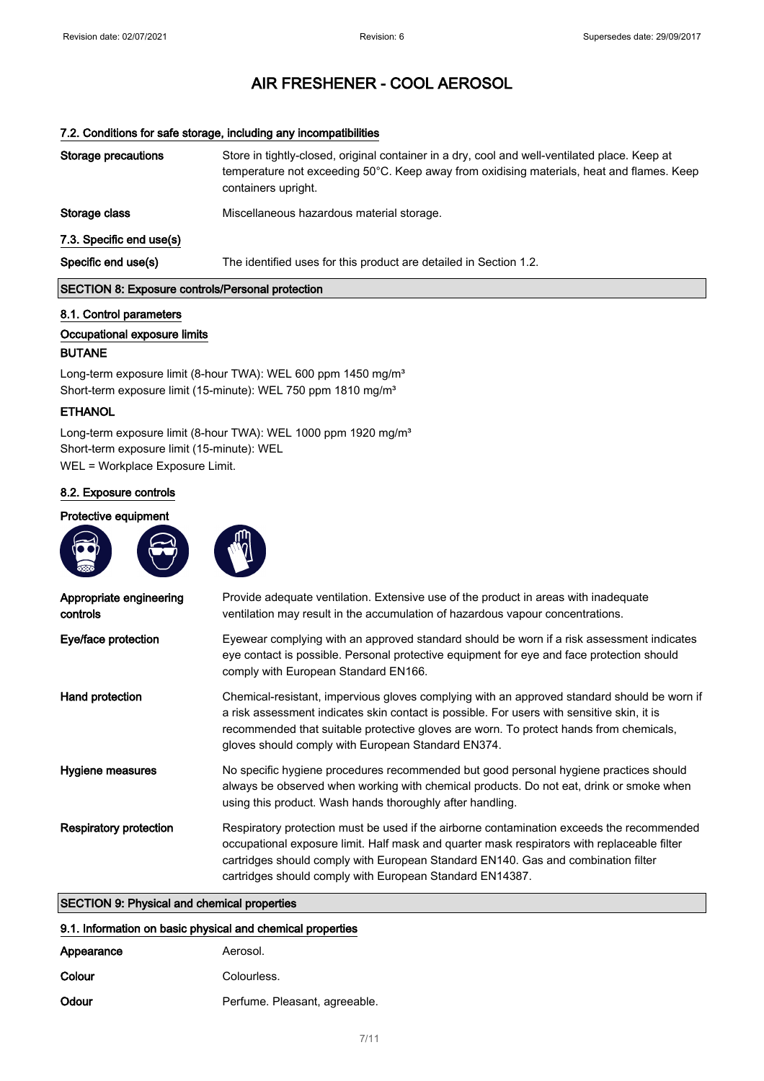#### 7.2. Conditions for safe storage, including any incompatibilities

| Storage precautions                                     | Store in tightly-closed, original container in a dry, cool and well-ventilated place. Keep at<br>temperature not exceeding 50°C. Keep away from oxidising materials, heat and flames. Keep<br>containers upright. |  |
|---------------------------------------------------------|-------------------------------------------------------------------------------------------------------------------------------------------------------------------------------------------------------------------|--|
| Storage class                                           | Miscellaneous hazardous material storage.                                                                                                                                                                         |  |
| 7.3. Specific end use(s)                                |                                                                                                                                                                                                                   |  |
| Specific end use(s)                                     | The identified uses for this product are detailed in Section 1.2.                                                                                                                                                 |  |
| <b>SECTION 8: Exposure controls/Personal protection</b> |                                                                                                                                                                                                                   |  |

#### 8.1. Control parameters

#### Occupational exposure limits

#### BUTANE

Long-term exposure limit (8-hour TWA): WEL 600 ppm 1450 mg/m<sup>3</sup> Short-term exposure limit (15-minute): WEL 750 ppm 1810 mg/m<sup>3</sup>

#### **ETHANOL**

Long-term exposure limit (8-hour TWA): WEL 1000 ppm 1920 mg/m<sup>3</sup> Short-term exposure limit (15-minute): WEL WEL = Workplace Exposure Limit.

#### 8.2. Exposure controls

#### Protective equipment





| Appropriate engineering<br>controls | Provide adequate ventilation. Extensive use of the product in areas with inadequate<br>ventilation may result in the accumulation of hazardous vapour concentrations.                                                                                                                                                                     |
|-------------------------------------|-------------------------------------------------------------------------------------------------------------------------------------------------------------------------------------------------------------------------------------------------------------------------------------------------------------------------------------------|
| Eye/face protection                 | Eyewear complying with an approved standard should be worn if a risk assessment indicates<br>eye contact is possible. Personal protective equipment for eye and face protection should<br>comply with European Standard EN166.                                                                                                            |
| Hand protection                     | Chemical-resistant, impervious gloves complying with an approved standard should be worn if<br>a risk assessment indicates skin contact is possible. For users with sensitive skin, it is<br>recommended that suitable protective gloves are worn. To protect hands from chemicals,<br>gloves should comply with European Standard EN374. |
| Hygiene measures                    | No specific hygiene procedures recommended but good personal hygiene practices should<br>always be observed when working with chemical products. Do not eat, drink or smoke when<br>using this product. Wash hands thoroughly after handling.                                                                                             |
| Respiratory protection              | Respiratory protection must be used if the airborne contamination exceeds the recommended<br>occupational exposure limit. Half mask and quarter mask respirators with replaceable filter<br>cartridges should comply with European Standard EN140. Gas and combination filter<br>cartridges should comply with European Standard EN14387. |

### SECTION 9: Physical and chemical properties

| 9.1. Information on basic physical and chemical properties |                               |
|------------------------------------------------------------|-------------------------------|
| Appearance                                                 | Aerosol.                      |
| Colour                                                     | Colourless.                   |
| Odour                                                      | Perfume. Pleasant, agreeable. |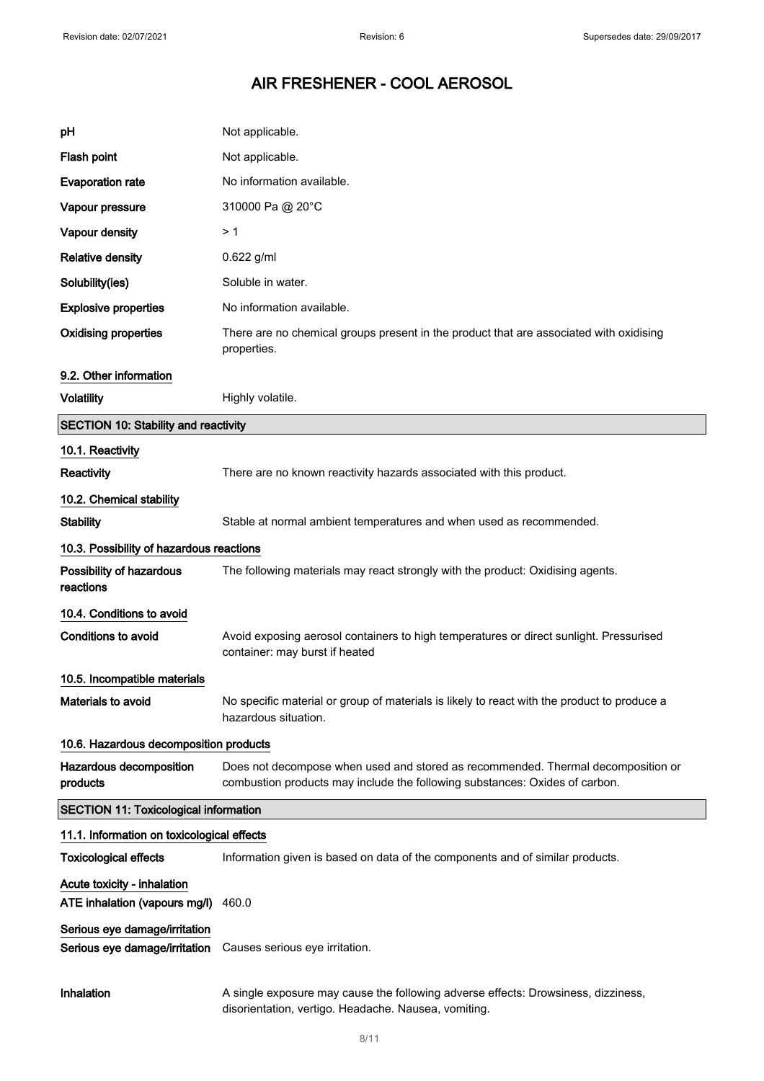| рH                                                             | Not applicable.                                                                                                                                                 |
|----------------------------------------------------------------|-----------------------------------------------------------------------------------------------------------------------------------------------------------------|
| Flash point                                                    | Not applicable.                                                                                                                                                 |
| <b>Evaporation rate</b>                                        | No information available.                                                                                                                                       |
| Vapour pressure                                                | 310000 Pa @ 20°C                                                                                                                                                |
| Vapour density                                                 | >1                                                                                                                                                              |
| <b>Relative density</b>                                        | 0.622 g/ml                                                                                                                                                      |
| Solubility(ies)                                                | Soluble in water.                                                                                                                                               |
| <b>Explosive properties</b>                                    | No information available.                                                                                                                                       |
| <b>Oxidising properties</b>                                    | There are no chemical groups present in the product that are associated with oxidising<br>properties.                                                           |
| 9.2. Other information                                         |                                                                                                                                                                 |
| <b>Volatility</b>                                              | Highly volatile.                                                                                                                                                |
| <b>SECTION 10: Stability and reactivity</b>                    |                                                                                                                                                                 |
| 10.1. Reactivity                                               |                                                                                                                                                                 |
| Reactivity                                                     | There are no known reactivity hazards associated with this product.                                                                                             |
| 10.2. Chemical stability                                       |                                                                                                                                                                 |
| <b>Stability</b>                                               | Stable at normal ambient temperatures and when used as recommended.                                                                                             |
| 10.3. Possibility of hazardous reactions                       |                                                                                                                                                                 |
| Possibility of hazardous<br>reactions                          | The following materials may react strongly with the product: Oxidising agents.                                                                                  |
| 10.4. Conditions to avoid                                      |                                                                                                                                                                 |
| <b>Conditions to avoid</b>                                     | Avoid exposing aerosol containers to high temperatures or direct sunlight. Pressurised<br>container: may burst if heated                                        |
| 10.5. Incompatible materials                                   |                                                                                                                                                                 |
| Materials to avoid                                             | No specific material or group of materials is likely to react with the product to produce a<br>hazardous situation.                                             |
| 10.6. Hazardous decomposition products                         |                                                                                                                                                                 |
| Hazardous decomposition<br>products                            | Does not decompose when used and stored as recommended. Thermal decomposition or<br>combustion products may include the following substances: Oxides of carbon. |
| <b>SECTION 11: Toxicological information</b>                   |                                                                                                                                                                 |
| 11.1. Information on toxicological effects                     |                                                                                                                                                                 |
| <b>Toxicological effects</b>                                   | Information given is based on data of the components and of similar products.                                                                                   |
| Acute toxicity - inhalation<br>ATE inhalation (vapours mg/l)   | 460.0                                                                                                                                                           |
| Serious eye damage/irritation<br>Serious eye damage/irritation | Causes serious eye irritation.                                                                                                                                  |
| Inhalation                                                     | A single exposure may cause the following adverse effects: Drowsiness, dizziness,<br>disorientation, vertigo. Headache. Nausea, vomiting.                       |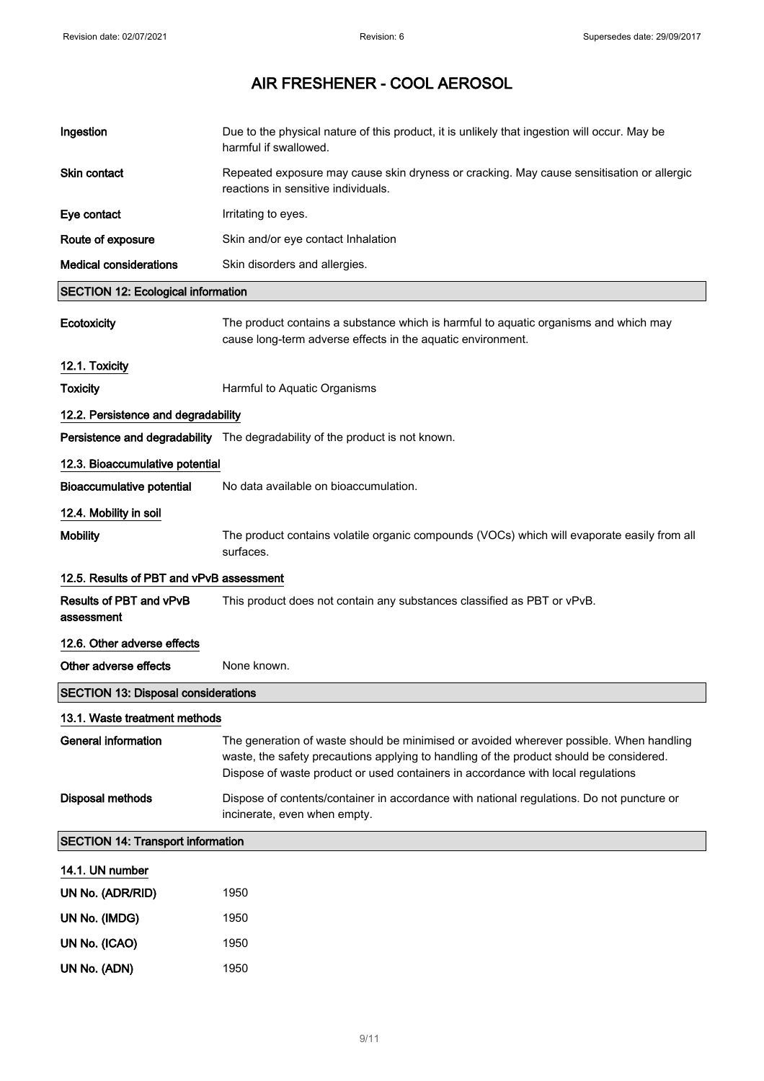| Ingestion                                  | Due to the physical nature of this product, it is unlikely that ingestion will occur. May be<br>harmful if swallowed.                                                                                                                                                  |
|--------------------------------------------|------------------------------------------------------------------------------------------------------------------------------------------------------------------------------------------------------------------------------------------------------------------------|
| <b>Skin contact</b>                        | Repeated exposure may cause skin dryness or cracking. May cause sensitisation or allergic<br>reactions in sensitive individuals.                                                                                                                                       |
| Eye contact                                | Irritating to eyes.                                                                                                                                                                                                                                                    |
| Route of exposure                          | Skin and/or eye contact Inhalation                                                                                                                                                                                                                                     |
| <b>Medical considerations</b>              | Skin disorders and allergies.                                                                                                                                                                                                                                          |
| <b>SECTION 12: Ecological information</b>  |                                                                                                                                                                                                                                                                        |
| Ecotoxicity                                | The product contains a substance which is harmful to aquatic organisms and which may<br>cause long-term adverse effects in the aquatic environment.                                                                                                                    |
| 12.1. Toxicity                             |                                                                                                                                                                                                                                                                        |
| <b>Toxicity</b>                            | Harmful to Aquatic Organisms                                                                                                                                                                                                                                           |
| 12.2. Persistence and degradability        |                                                                                                                                                                                                                                                                        |
|                                            | Persistence and degradability The degradability of the product is not known.                                                                                                                                                                                           |
| 12.3. Bioaccumulative potential            |                                                                                                                                                                                                                                                                        |
| <b>Bioaccumulative potential</b>           | No data available on bioaccumulation.                                                                                                                                                                                                                                  |
| 12.4. Mobility in soil                     |                                                                                                                                                                                                                                                                        |
| <b>Mobility</b>                            | The product contains volatile organic compounds (VOCs) which will evaporate easily from all<br>surfaces.                                                                                                                                                               |
| 12.5. Results of PBT and vPvB assessment   |                                                                                                                                                                                                                                                                        |
| Results of PBT and vPvB<br>assessment      | This product does not contain any substances classified as PBT or vPvB.                                                                                                                                                                                                |
| 12.6. Other adverse effects                |                                                                                                                                                                                                                                                                        |
| Other adverse effects                      | None known.                                                                                                                                                                                                                                                            |
| <b>SECTION 13: Disposal considerations</b> |                                                                                                                                                                                                                                                                        |
| 13.1. Waste treatment methods              |                                                                                                                                                                                                                                                                        |
| <b>General information</b>                 | The generation of waste should be minimised or avoided wherever possible. When handling<br>waste, the safety precautions applying to handling of the product should be considered.<br>Dispose of waste product or used containers in accordance with local regulations |
| Disposal methods                           | Dispose of contents/container in accordance with national regulations. Do not puncture or<br>incinerate, even when empty.                                                                                                                                              |
| <b>SECTION 14: Transport information</b>   |                                                                                                                                                                                                                                                                        |
| 14.1. UN number                            |                                                                                                                                                                                                                                                                        |
| UN No. (ADR/RID)                           | 1950                                                                                                                                                                                                                                                                   |
| UN No. (IMDG)                              | 1950                                                                                                                                                                                                                                                                   |
| UN No. (ICAO)                              | 1950                                                                                                                                                                                                                                                                   |
| UN No. (ADN)                               | 1950                                                                                                                                                                                                                                                                   |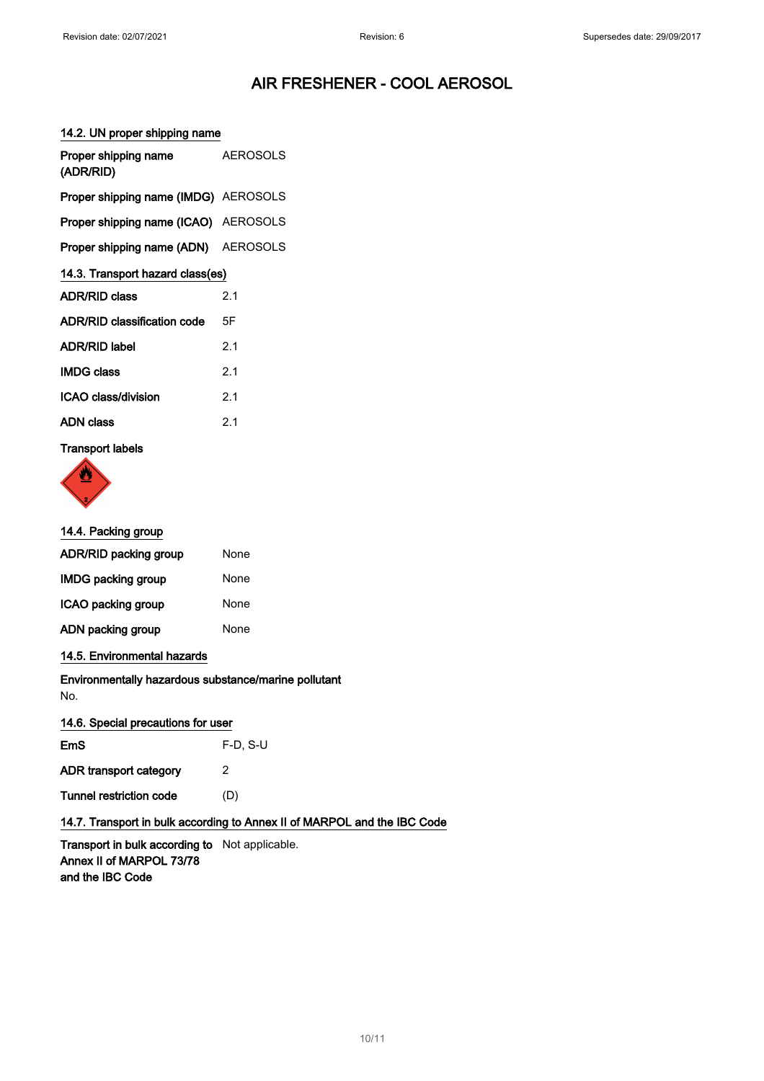#### 14.2. UN proper shipping name

| Proper shipping name<br>(ADR/RID)           | <b>AEROSOLS</b> |
|---------------------------------------------|-----------------|
| <b>Proper shipping name (IMDG)</b> AEROSOLS |                 |
| <b>Proper shipping name (ICAO)</b> AEROSOLS |                 |
| Proper shipping name (ADN) AEROSOLS         |                 |
| 14.3. Transport hazard class(es)            |                 |
| <b>ADR/RID class</b>                        | 2.1             |
| ADR/RID classification code                 | 5F              |
| <b>ADR/RID label</b>                        | 2.1             |
| IMDG class                                  | 2.1             |
| ICAO class/division                         | 2.1             |
| ADN class                                   | 2.1             |
|                                             |                 |

#### Transport labels



#### 14.4. Packing group

| ADR/RID packing group     | None |
|---------------------------|------|
| <b>IMDG packing group</b> | None |
| ICAO packing group        | None |
| ADN packing group         | None |

#### 14.5. Environmental hazards

Environmentally hazardous substance/marine pollutant No.

#### 14.6. Special precautions for user

| <b>EmS</b>              | $F-D. S-U$ |
|-------------------------|------------|
| ADR transport category  | 2          |
| Tunnel restriction code | (D)        |

#### 14.7. Transport in bulk according to Annex II of MARPOL and the IBC Code

Transport in bulk according to Not applicable. Annex II of MARPOL 73/78 and the IBC Code